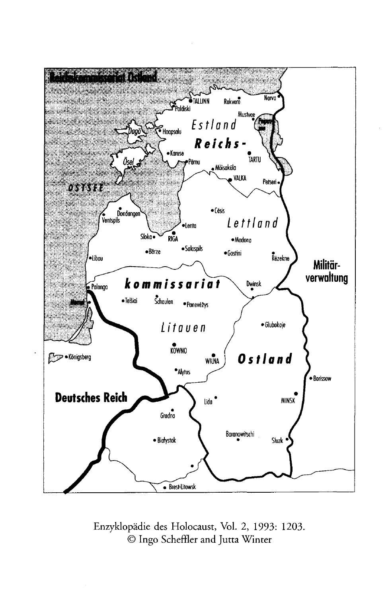

Enzyklopädie des Holocaust, Vol. 2, 1993: 1203. © Ingo Scheffler and Jutta Winter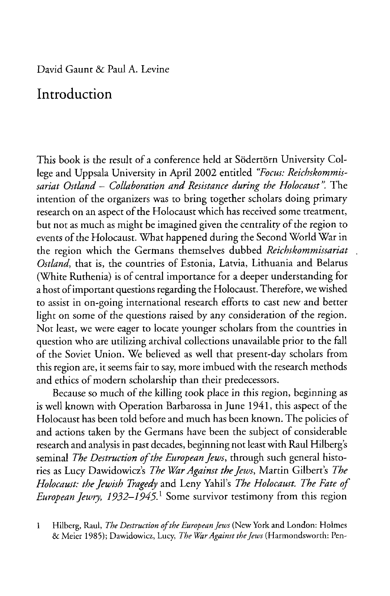## **Introduction**

This book is the result of a conference held at Södertörn University College and Uppsala University in April 2002 entitled *"Focus: Reichskommissariat Ostland* - *Collaboration and Resistance during the Holocaust* The intention of the organizers was to bring together scholars doing primary research on an aspect of the Holocaust which has received some treatment, but not as much as might be imagined given the centrality of the region to events of the Holocaust. What happened during the Second World War in the region which the Germans themselves dubbed *Reichskommissariat Ostland,* that is, the countries of Estonia, Latvia, Lithuania and Belarus (White Ruthenia) is of central importance for a deeper understanding for a host of important questions regarding the Holocaust. Therefore, we wished to assist in on-going international research efforts to cast new and better light on some of the questions raised by any consideration of the region. Not least, we were eager to locate younger scholars from the countries in question who are utilizing archival collections unavailable prior to the fall of the Soviet Union. We believed as well that present-day scholars from this region are, it seems fair to say, more imbued with the research methods and ethics of modern scholarship than their predecessors.

Because so much of the killing took place in this region, beginning as is well known with Operation Barbarossa in June 1941, this aspect of the Holocaust has been told before and much has been known. The policies of and actions taken by the Germans have been the subject of considerable research and analysis in past decades, beginning not least with Raul Hilberg's seminal *The Destruction of the European Jews*, through such general histories as Lucy Dawidowicz's *The War Against the Jews*, Martin Gilbert's *The Holocaust: the Jewish Tragedy* and Leny Yahil's *The Holocaust. The Fate of European Jewry, 1932-1945.1* Some survivor testimony from this region

<sup>1</sup> Hilberg, Raul, *The Destruction of the European Jews* (New York and London: Holmes **& Meier 1985); Dawidowicz, Lucy,** *The War Against the Jew s* **(Harmondsworth: Pen-**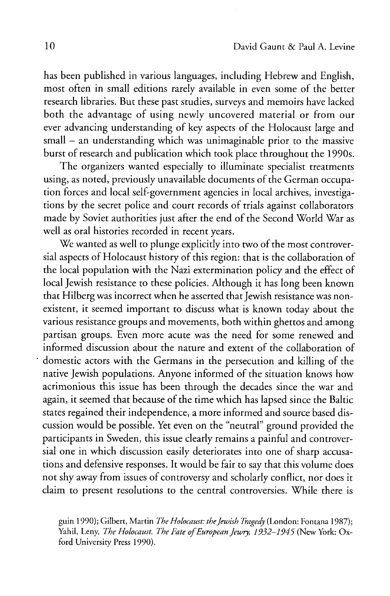has been published in various languages, including Hebrew and English, most often in small editions rarely available in even some of the better research libraries. But these past studies, surveys and memoirs have lacked both the advantage of using newly uncovered material or from our ever advancing understanding of key aspects of the Holocaust large and small – an understanding which was unimaginable prior to the massive burst of research and publication which took place throughout the 1990s.

The organizers wanted especially to illuminate specialist treatments using, as noted, previously unavailable documents of the German occupation forces and local self-government agencies in local archives, investigations by the secret police and court records of trials against collaborators made by Soviet authorities just after the end of the Second World War as well as oral histories recorded in recent years.

We wanted as well to plunge explicitly into two of the most controversial aspects of Holocaust history of this region: that is the collaboration of the local population with the Nazi extermination policy and the effect of local Jewish resistance to these policies. Although it has long been known that Hilberg was incorrect when he asserted that Jewish resistance was nonexistent, it seemed important to discuss what is known today about the various resistance groups and movements, both within ghettos and among partisan groups. Even more acute was the need for some renewed and informed discussion about the nature and extent of the collaboration of domestic actors with the Germans in the persecution and killing of the native Jewish populations. Anyone informed of the situation knows how acrimonious this issue has been through the decades since the war and again, it seemed that because of the time which has lapsed since the Baltic states regained their independence, a more informed and source based discussion would be possible. Yet even on the "neutral" ground provided the participants in Sweden, this issue clearly remains a painful and controversial one in which discussion easily deteriorates into one of sharp accusations and defensive responses. It would be fair to say that this volume does not shy away from issues of controversy and scholarly conflict, nor does it claim to present resolutions to the central controversies. While there is

**guin 1990); Gilbert, Martin** *The Holocaust: the Jewish Tragedy* **(London: Fontana 1987);** Yahil, Leny, *The Holocaust. The Fate of European Jewry*, 1932-1945 (New York: Ox**ford University Press 1990).**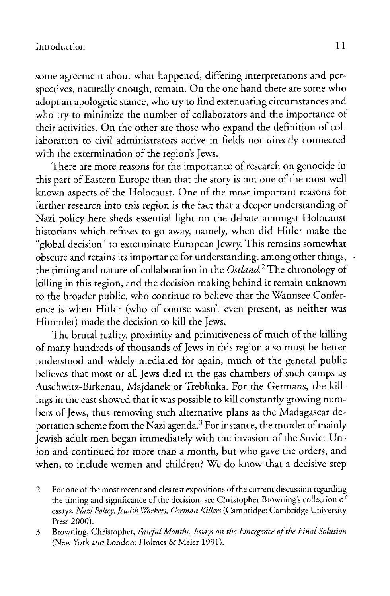some agreement about what happened, differing interpretations and perspectives, naturally enough, remain. On the one hand there are some who adopt an apologetic stance, who try to find extenuating circumstances and who try to minimize the number of collaborators and the importance of their activities. On the other are those who expand the definition of collaboration to civil administrators active in fields not directly connected with the extermination of the region's Jews.

There are more reasons for the importance of research on genocide in this part of Eastern Europe than that the story is not one of the most well known aspects of the Holocaust. One of the most important reasons for further research into this region is the fact that a deeper understanding of Nazi policy here sheds essential light on the debate amongst Holocaust historians which refuses to go away, namely, when did Hitler make the "global decision" to exterminate European Jewry. This remains somewhat obscure and retains its importance for understanding, among other things, the timing and nature of collaboration in the *Ostland?* The chronology of killing in this region, and the decision making behind it remain unknown to the broader public, who continue to believe that the Wannsee Conference is when Hitler (who of course wasn't even present, as neither was Himmler) made the decision to kill the Jews.

The brutal reality, proximity and primitiveness of much of the killing of many hundreds of thousands of Jews in this region also must be better understood and widely mediated for again, much of the general public believes that most or all Jews died in the gas chambers of such camps as Auschwitz-Birkenau, Majdanek or Treblinka. For the Germans, the killings in the east showed that it was possible to kill constantly growing numbers of Jews, thus removing such alternative plans as the Madagascar deportation scheme from the Nazi agenda.<sup>3</sup> For instance, the murder of mainly Jewish adult men began immediately with the invasion of the Soviet Union and continued for more than a month, but who gave the orders, and when, to include women and children? We do know that a decisive step

**2** For one of the most recent and clearest expositions of the current discussion regarding the timing and significance of the decision, see Christopher Browning's collection of **essays,** *Nazi Policy, Jewish Workers, German Killers* **(Cambridge: Cambridge University Press 2000).**

**<sup>3</sup> Browning, Christopher,** *Fateful Months. Essays on the E mergence o f the Final Solution* **(New York and London: Holmes & Meier 1991).**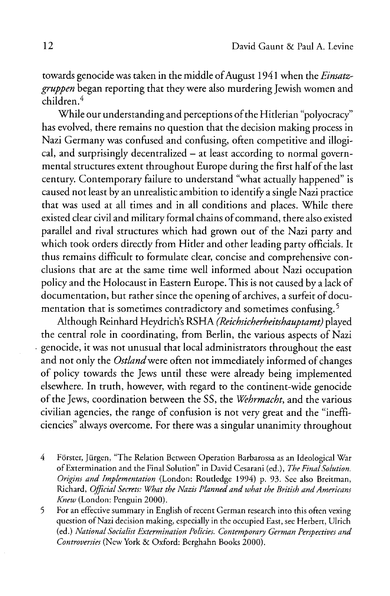towards genocide was taken in the middle of August 1941 when the *Einsatzgruppen* began reporting that they were also murdering Jewish women and children.4

While our understanding and perceptions of the Hitlerian "polyocracy" has evolved, there remains no question that the decision making process in Nazi Germany was confused and confusing, often competitive and illogical, and surprisingly decentralized — at least according to normal governmental structures extent throughout Europe during the first half of the last century. Contemporary failure to understand "what actually happened" is caused not least by an unrealistic ambition to identify a single Nazi practice that was used at all times and in all conditions and places. While there existed clear civil and military formal chains of command, there also existed parallel and rival structures which had grown out of the Nazi party and which took orders directly from Hitler and other leading party officials. It thus remains difficult to formulate clear, concise and comprehensive conclusions that are at the same time well informed about Nazi occupation policy and the Holocaust in Eastern Europe. This is not caused by a lack of documentation, but rather since the opening of archives, a surfeit of documentation that is sometimes contradictory and sometimes confusing.<sup>5</sup>

Although Reinhard Heydrich's RSHA *(Reichsicherheitshauptamt)* played the central role in coordinating, from Berlin, the various aspects of Nazi genocide, it was not unusual that local administrators throughout the east and not only the *Ostland* were often not immediately informed of changes of policy towards the Jews until these were already being implemented elsewhere. In truth, however, with regard to the continent-wide genocide of the Jews, coordination between the SS, the *Wehrmacht*, and the various civilian agencies, the range of confusion is not very great and the "inefficiencies" always overcome. For there was a singular unanimity throughout

- **4 Forster, Jürgen, "The Relation Between Operation Barbarossa as an Ideological War** of Extermination and the Final Solution" in David Cesarani (ed.), *The Final Solution*. *Origins and Implementation* (London: Routledge 1994) p. 93. See also Breitman, **Richard,** *O fficial Secrets: What the Nazis Planned and w hat the British and Americans Knew* (London: Penguin 2000).
- 5 For an effective summary in English of recent German research into this often vexing question of Nazi decision making, especially in the occupied East, see Herbert, Ulrich **(ed.)** *N ational Socialist Extermination Policies. Contemporary German Perspectives and Controversies* **(New York & Oxford: Berghahn Books 2000).**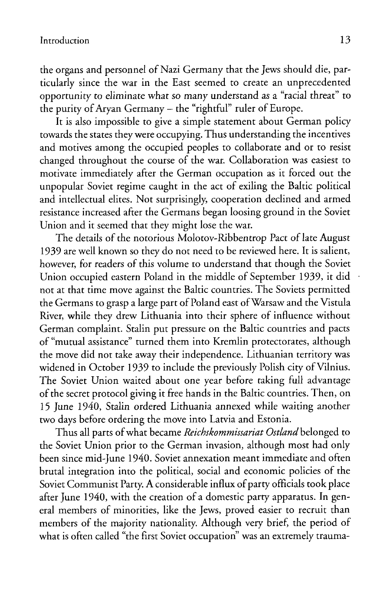the organs and personnel of Nazi Germany that the Jews should die, particularly since the war in the East seemed to create an unprecedented opportunity to eliminate what so many understand as a "racial threat" to the purity of Aryan Germany - the "rightful" ruler of Europe.

It is also impossible to give a simple statement about German policy towards the states they were occupying. Thus understanding the incentives and motives among the occupied peoples to collaborate and or to resist changed throughout the course of the war. Collaboration was easiest to motivate immediately after the German occupation as it forced out the unpopular Soviet regime caught in the act of exiling the Baltic political and intellectual elites. Not surprisingly, cooperation declined and armed resistance increased after the Germans began loosing ground in the Soviet Union and it seemed that they might lose the war.

The details of the notorious Molotov-Ribbentrop Pact of late August 1939 are well known so they do not need to be reviewed here. It is salient, however, for readers of this volume to understand that though the Soviet Union occupied eastern Poland in the middle of September 1939, it did not at that time move against the Baltic countries. The Soviets permitted the Germans to grasp a large part of Poland east of Warsaw and the Vistula River, while they drew Lithuania into their sphere of influence without German complaint. Stalin put pressure on the Baltic countries and pacts of "mutual assistance" turned them into Kremlin protectorates, although the move did not take away their independence. Lithuanian territory was widened in October 1939 to include the previously Polish city of Vilnius. The Soviet Union waited about one year before taking full advantage of the secret protocol giving it free hands in the Baltic countries. Then, on 15 June 1940, Stalin ordered Lithuania annexed while waiting another two days before ordering the move into Latvia and Estonia.

Thus all parts of what became *Reichskommissariat Ostland* belonged to the Soviet Union prior to the German invasion, although most had only been since mid-June 1940. Soviet annexation meant immediate and often brutal integration into the political, social and economic policies of the Soviet Communist Party. A considerable influx of party officials took place after June 1940, with the creation of a domestic party apparatus. In general members of minorities, like the Jews, proved easier to recruit than members of the majority nationality. Although very brief, the period of what is often called "the first Soviet occupation" was an extremely trauma-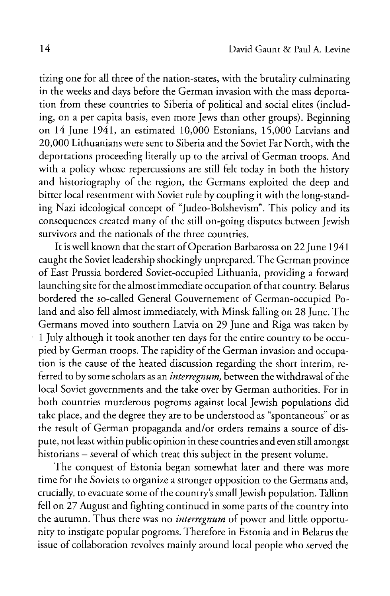tizing one for all three of the nation-states, with the brutality culminating in the weeks and days before the German invasion with the mass deportation from these countries to Siberia of political and social elites (including, on a per capita basis, even more Jews than other groups). Beginning on 14 June 1941, an estimated 10,000 Estonians, 15,000 Latvians and 20,000 Lithuanians were sent to Siberia and the Soviet Par North, with the deportations proceeding literally up to the arrival of German troops. And with a policy whose repercussions are still felt today in both the history and historiography of the region, the Germans exploited the deep and bitter local resentment with Soviet rule by coupling it with the long-standing Nazi ideological concept of "Judeo-Bolshevism". This policy and its consequences created many of the still on-going disputes between Jewish survivors and the nationals of the three countries.

It is well known that the start of Operation Barbarossa on 22 June 1941 caught the Soviet leadership shockingly unprepared. The German province of East Prussia bordered Soviet-occupied Lithuania, providing a forward launching site for the almost immediate occupation of that country. Belarus bordered the so-called General Gouvernement of German-occupied Poland and also fell almost immediately, with Minsk falling on 28 June. The Germans moved into southern Latvia on 29 June and Riga was taken by 1 July although it took another ten days for the entire country to be occupied by German troops. The rapidity of the German invasion and occupation is the cause of the heated discussion regarding the short interim, referred to by some scholars as an *interregnum,* between the withdrawal of the local Soviet governments and the take over by German authorities. For in both countries murderous pogroms against local Jewish populations did take place, and the degree they are to be understood as "spontaneous" or as the result of German propaganda and/or orders remains a source of dispute, not least within public opinion in these countries and even still amongst historians – several of which treat this subject in the present volume.

The conquest of Estonia began somewhat later and there was more time for the Soviets to organize a stronger opposition to the Germans and, crucially, to evacuate some of the country's small Jewish population. Tallinn fell on 27 August and fighting continued in some parts of the country into the autumn. Thus there was no *interregnum* of power and little opportunity to instigate popular pogroms. Therefore in Estonia and in Belarus the issue of collaboration revolves mainly around local people who served the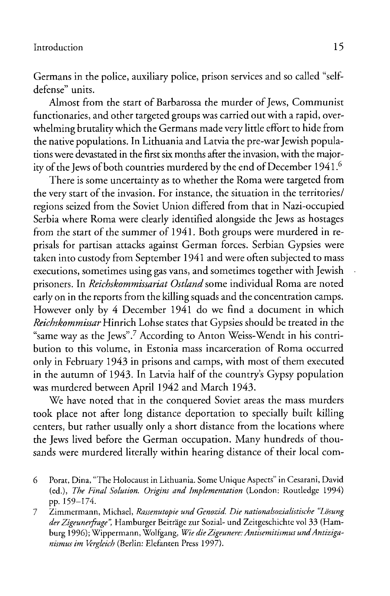Germans in the police, auxiliary police, prison services and so called "selfdefense" units.

Almost from the start of Barbarossa the murder of Jews, Communist functionaries, and other targeted groups was carried out with a rapid, overwhelming brutality which the Germans made very little effort to hide from the native populations. In Lithuania and Latvia the pre-war Jewish populations were devastated in the first six months after the invasion, with the majority of the Jews of both countries murdered by the end of December 1941.6

There is some uncertainty as to whether the Roma were targeted from the very start of the invasion. For instance, the situation in the territories/ regions seized from the Soviet Union differed from that in Nazi-occupied Serbia where Roma were clearly identified alongside the Jews as hostages from the start of the summer of 1941. Both groups were murdered in reprisals for partisan attacks against German forces. Serbian Gypsies were taken into custody from September 1941 and were often subjected to mass executions, sometimes using gas vans, and sometimes together with Jewish prisoners. In *Reichskommissariat Ostland* some individual Roma are noted early on in the reports from the killing squads and the concentration camps. However only by 4 December 1941 do we find a document in which *Reichskommissar* Hinrich Lohse states that Gypsies should be treated in the "same way as the Jews".7 According to Anton Weiss-Wendt in his contribution to this volume, in Estonia mass incarceration of Roma occurred only in February 1943 in prisons and camps, with most of them executed in the autumn of 1943. In Latvia half of the country's Gypsy population was murdered between April 1942 and March 1943.

We have noted that in the conquered Soviet areas the mass murders took place not after long distance deportation to specially built killing centers, but rather usually only a short distance from the locations where the Jews lived before the German occupation. Many hundreds of thousands were murdered literally within hearing distance of their local com-

- **6 Porat, Dina, "The Holocaust in Lithuania. Some Unique Aspects" in Cesarani, David** (ed.), *The Final Solution. Origins and Implementation* (London: Routledge 1994) pp. 159-174.
- **7 Zimmermann, Michael,** *Rassenutopie u nd Genozid. D ie nationalsozialistische "Losung der Z igeunerfrage",* **Hamburger Beitrage zur Sozial- und Zeitgeschichte vol 33 (Hamburg 1996); Wippermann, Wolfgang,** *Wie dieZ igeunere: Antisemitismus undA ntiziganismus im Vergleich* **(Berlin: Elefanten Press 1997).**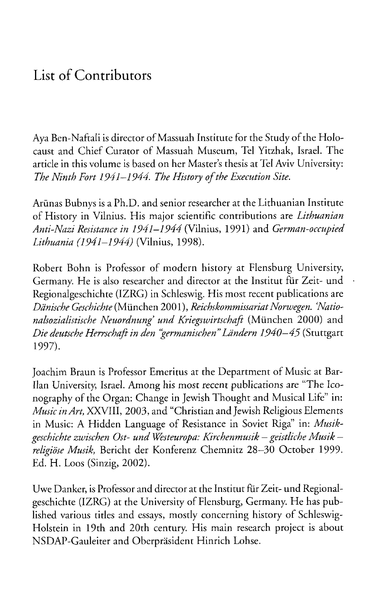## List of Contributors

Aya Ben-Naftali is director of Massuah Institute for the Study of the Holocaust and Chief Curator of Massuah Museum, Tel Yitzhak, Israel. The article in this volume is based on her Master's thesis at Tel Aviv University: *The Ninth Fort 1941–1944. The History of the Execution Site.* 

Arünas Bubnys is a Ph.D. and senior researcher at the Lithuanian Institute of History in Vilnius. His major scientific contributions are *Lithuanian Anti-Nazi Resistance in 1941–1944* (Vilnius, 1991) and *German-occupied Lithuania (1941—1944)* (Vilnius, 1998).

Robert Bohn is Professor of modern history at Flensburg University, Germany. He is also researcher and director at the Institut für Zeit- und Regionalgeschichte (IZRG) in Schleswig. His most recent publications are *Dänische Geschichte* (München 2001), *Reichskommissariat Norwegen. Nationalsozialistische N euordnung' und K riegswirtschaft* (München 2000) and *Die deutsche Herrschaft in den "germ anischen"Ländern 1940—45* (Stuttgart 1997).

Joachim Braun is Professor Emeritus at the Department of Music at Bar-Ilan University, Israel. Among his most recent publications are "The Iconography of the Organ: Change in Jewish Thought and Musical Life" in: *Music in Art,* XXVIII, 2003, and "Christian and Jewish Religious Elements in Music: A Hidden Language of Resistance in Soviet Riga" in: *Musikgeschichte zwischen Ost- und Westeuropa: Kirchenmusik — geistliche Musik religiöse Musik,* Bericht der Konferenz Chemnitz 28—30 October 1999. Ed. H. Loos (Sinzig, 2002).

Uwe Danker, is Professor and director at the Institut für Zeit- und Regionalgeschichte (IZRG) at the University of Flensburg, Germany. He has published various titles and essays, mostly concerning history of Schleswig-Holstein in 19th and 20th century. His main research project is about NSDAP-Gauleiter and Oberpräsident Hinrich Lohse.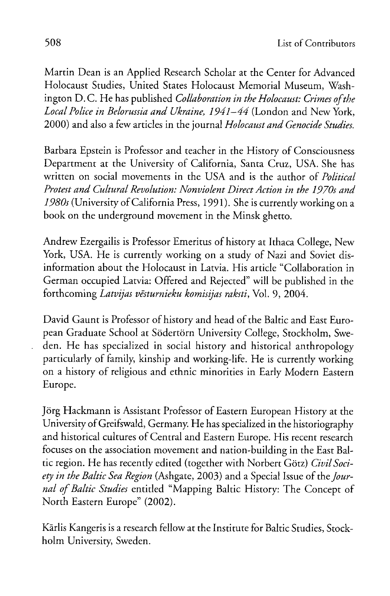Martin Dean is an Applied Research Scholar at the Center for Advanced Holocaust Studies, United States Holocaust Memorial Museum, Washington D.C. He has published *Collaboration in the Holocaust: Crimes of the Local Police in Belorussia and Ukraine, 1941-44* (London and New York, 2000) and also a few articles in the journal *Holocaust and Genocide Studies.*

Barbara Epstein is Professor and teacher in the History of Consciousness Department at the University of California, Santa Cruz, USA. She has written on social movements in the USA and is the author of *Political* Protest and Cultural Revolution: Nonviolent Direct Action in the 1970s and *1980s* (University of California Press, 1991). She is currently working on a book on the underground movement in the Minsk ghetto.

Andrew Ezergailis is Professor Emeritus of history at Ithaca College, New York, USA. He is currently working on a study of Nazi and Soviet disinformation about the Holocaust in Latvia. His article "Collaboration in German occupied Latvia: Offered and Rejected" will be published in the forthcoming *Latvijas vesturnieku komisijas raksti,* Vol. 9, 2004.

David Gaunt is Professor of history and head of the Baltic and East European Graduate School at Södertörn University College, Stockholm, Sweden. He has specialized in social history and historical anthropology particularly of family, kinship and working-life. He is currently working on a history of religious and ethnic minorities in Early Modern Eastern Europe.

Jorg Hackmann is Assistant Professor of Eastern European History at the University of Greifswald, Germany. He has specialized in the historiography and historical cultures of Central and Eastern Europe. His recent research focuses on the association movement and nation-building in the East Baltic region. He has recently edited (together with Norbert Gotz) *Civil Society in the Baltic Sea Region* (Ashgate, 2003) and a Special Issue of the *Jour*nal of Baltic Studies entitled "Mapping Baltic History: The Concept of North Eastern Europe" (2002).

Karlis Kangeris is a research fellow at the Institute for Baltic Studies, Stockholm University, Sweden.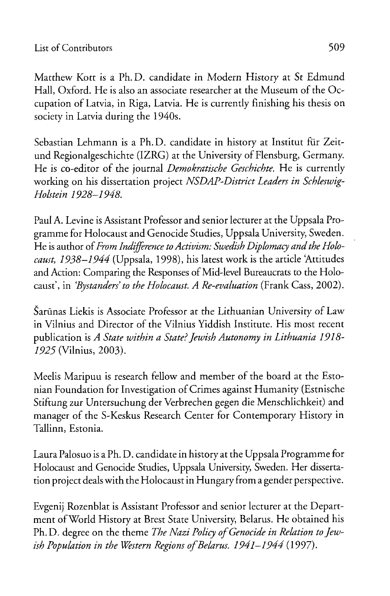Matthew Kott is a Ph. D. candidate in Modern History at St Edmund Hall, Oxford. He is also an associate researcher at the Museum of the Occupation of Latvia, in Riga, Latvia. He is currently finishing his thesis on society in Latvia during the 1940s.

Sebastian Lehmann is a Ph.D. candidate in history at Institut für Zeitund Regionalgeschichte (IZRG) at the University of Flensburg, Germany. He is co-editor of the journal *Demokratische Geschichte.* He is currently working on his dissertation project *NSDAP-District Leaders in Schleswig-Holstein 1928-1948.*

Paul A. Levine is Assistant Professor and senior lecturer at the Uppsala Programme for Holocaust and Genocide Studies, Uppsala University, Sweden. He is author of *From Indifference to Activism: Swedish Diplomacy and the Holocaust, 1938-1944* (Uppsala, 1998), his latest work is the article Attitudes and Action: Comparing the Responses of Mid-level Bureaucrats to the Holocaust', in *'Bystanders' to the Holocaust. A Re-evaluation* (Frank Cass, 2002).

Šarūnas Liekis is Associate Professor at the Lithuanian University of Law in Vilnius and Director of the Vilnius Yiddish Institute. His most recent publication is *A State within a State? Jewish Autonomy in Lithuania 1918- 1925* (Vilnius, 2003).

Meelis Maripuu is research fellow and member of the board at the Estonian Foundation for Investigation of Crimes against Humanity (Estnische Stiftung zur Untersuchung der Verbrechen gegen die Menschlichkeit) and manager of the S-Keskus Research Center for Contemporary History in Tallinn, Estonia.

Laura Palosuo is a Ph. D. candidate in history at the Uppsala Programme for Holocaust and Genocide Studies, Uppsala University, Sweden. Her dissertation project deals with the Holocaust in Hungary from a gender perspective.

Evgenij Rozenblat is Assistant Professor and senior lecturer at the Department of World History at Brest State University, Belarus. He obtained his Ph. D. degree on the theme *The Nazi Policy of Genocide in Relation to Jewish Population in the Western Regions of Belarus. 1941–1944* (1997).